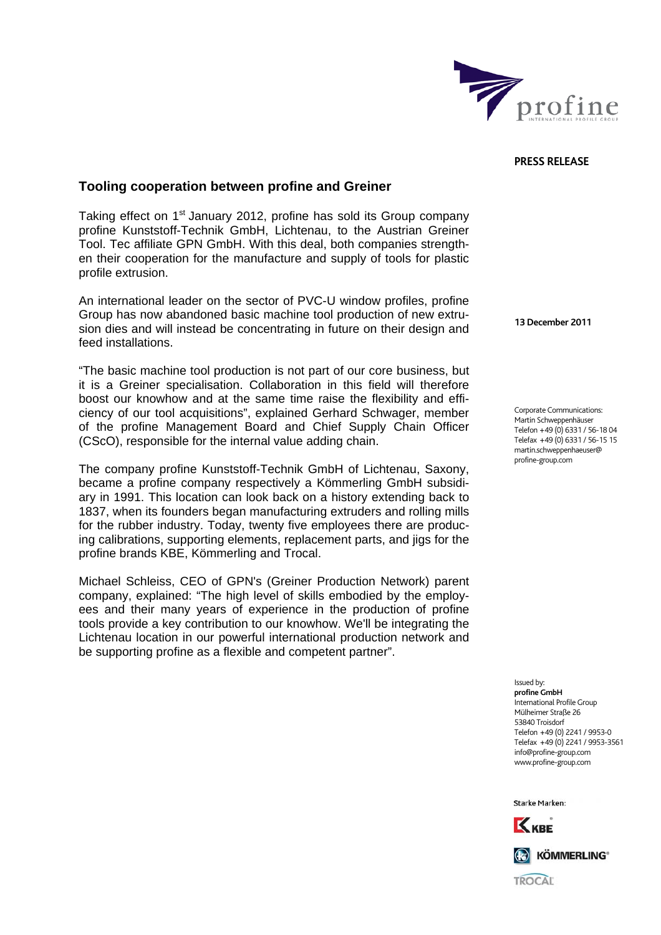

## **PRESS RELEASE**

## **Tooling cooperation between profine and Greiner**

Taking effect on 1<sup>st</sup> January 2012, profine has sold its Group company profine Kunststoff-Technik GmbH, Lichtenau, to the Austrian Greiner Tool. Tec affiliate GPN GmbH. With this deal, both companies strengthen their cooperation for the manufacture and supply of tools for plastic profile extrusion.

An international leader on the sector of PVC-U window profiles, profine Group has now abandoned basic machine tool production of new extrusion dies and will instead be concentrating in future on their design and feed installations.

"The basic machine tool production is not part of our core business, but it is a Greiner specialisation. Collaboration in this field will therefore boost our knowhow and at the same time raise the flexibility and efficiency of our tool acquisitions", explained Gerhard Schwager, member of the profine Management Board and Chief Supply Chain Officer (CScO), responsible for the internal value adding chain.

The company profine Kunststoff-Technik GmbH of Lichtenau, Saxony, became a profine company respectively a Kömmerling GmbH subsidiary in 1991. This location can look back on a history extending back to 1837, when its founders began manufacturing extruders and rolling mills for the rubber industry. Today, twenty five employees there are producing calibrations, supporting elements, replacement parts, and jigs for the profine brands KBE, Kömmerling and Trocal.

Michael Schleiss, CEO of GPN's (Greiner Production Network) parent company, explained: "The high level of skills embodied by the employees and their many years of experience in the production of profine tools provide a key contribution to our knowhow. We'll be integrating the Lichtenau location in our powerful international production network and be supporting profine as a flexible and competent partner".

**13 December 2011** 

Corporate Communications: Martin Schweppenhäuser Telefon +49 (0) 6331 / 56-18 04 Telefax +49 (0) 6331 / 56-15 15 martin.schweppenhaeuser@ profine-group.com

Issued by: **profine GmbH**  .<br>International Profile Group Mülheimer Straße 26 53840 Troisdorf Telefon +49 (0) 2241 / 9953-0 Telefax +49 (0) 2241 / 9953-3561 info@profine-group.com www.profine-group.com

Starke Marken: